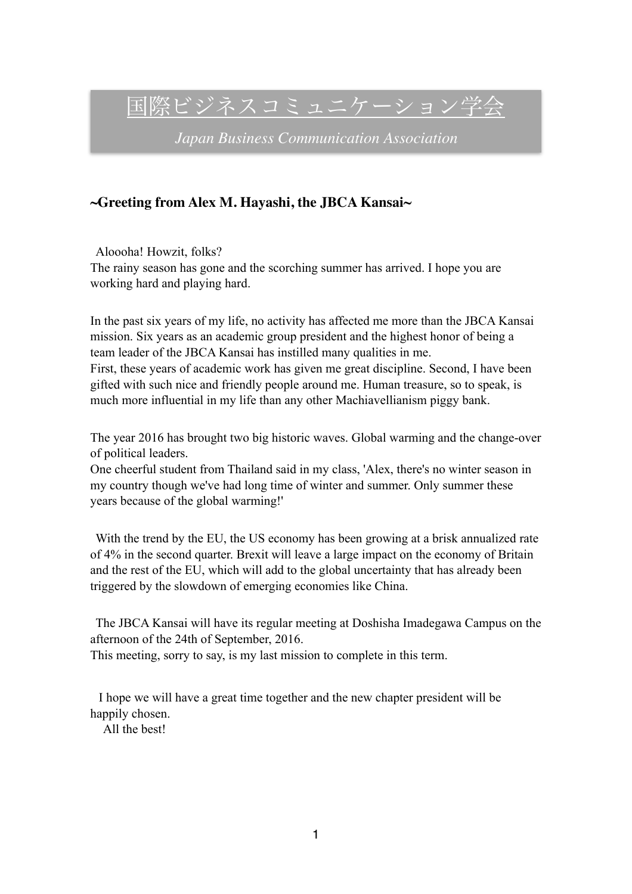国際ビジネスコミュニケーション学会

*Japan Business Communication Association*

### **~Greeting from Alex M. Hayashi, the JBCA Kansai~**

Aloooha! Howzit, folks? The rainy season has gone and the scorching summer has arrived. I hope you are working hard and playing hard.

In the past six years of my life, no activity has affected me more than the JBCA Kansai mission. Six years as an academic group president and the highest honor of being a team leader of the JBCA Kansai has instilled many qualities in me. First, these years of academic work has given me great discipline. Second, I have been gifted with such nice and friendly people around me. Human treasure, so to speak, is much more influential in my life than any other Machiavellianism piggy bank.

The year 2016 has brought two big historic waves. Global warming and the change-over of political leaders.

One cheerful student from Thailand said in my class, 'Alex, there's no winter season in my country though we've had long time of winter and summer. Only summer these years because of the global warming!'

With the trend by the EU, the US economy has been growing at a brisk annualized rate of 4% in the second quarter. Brexit will leave a large impact on the economy of Britain and the rest of the EU, which will add to the global uncertainty that has already been triggered by the slowdown of emerging economies like China.

The JBCA Kansai will have its regular meeting at Doshisha Imadegawa Campus on the afternoon of the 24th of September, 2016.

This meeting, sorry to say, is my last mission to complete in this term.

 I hope we will have a great time together and the new chapter president will be happily chosen.

All the best!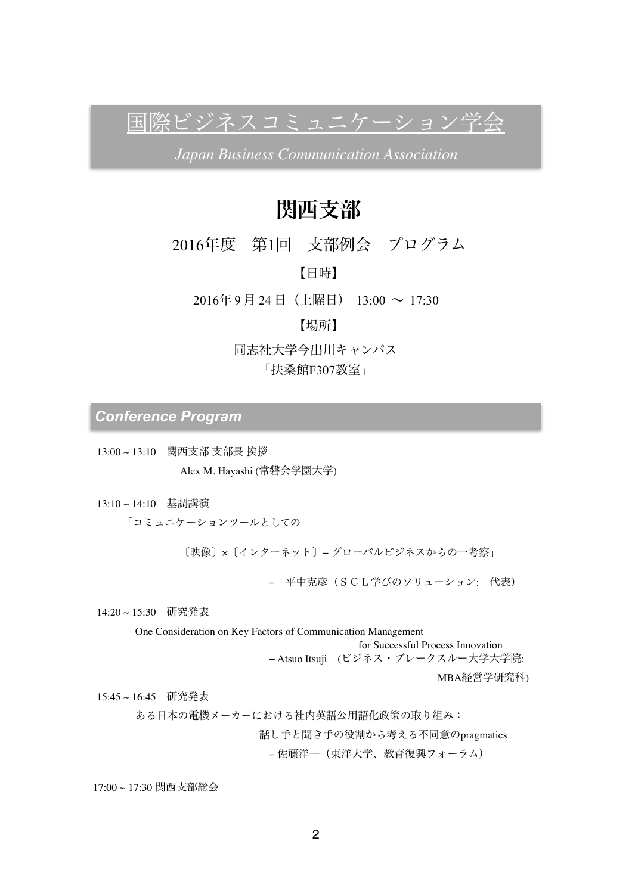国際ビジネスコミュニケーション学会

*Japan Business Communication Association*

# 関西支部

## 2016年度 第1回 支部例会 プログラム

【日時】

 $201649 \n\parallel 24 \n\parallel$  (土曜日)  $13:00 \sim 17:30$ 

### 【場所】

同志社大学今出川キャンパス

「扶桑館F307教室」

*Conference Program*

13:00 ~ 13:10 関西支部 支部長 挨拶 Alex M. Hayashi (常磐会学園大学)

13:10 ~ 14:10 基調講演

「コミュニケーションツールとしての

〔映像〕×〔インターネット〕− グローバルビジネスからの一考察」

− 平中克彦(SCL学びのソリューション: 代表)

14:20 ~ 15:30 研究発表

One Consideration on Key Factors of Communication Management

for Successful Process Innovation

− Atsuo Itsuji (ビジネス・ブレークスルー大学大学院:

MBA経営学研究科)

15:45 ~ 16:45 研究発表

ある日本の電機メーカーにおける社内英語公用語化政策の取り組み:

話し手と聞き手の役割から考える不同意のpragmatics

− 佐藤洋一(東洋大学、教育復興フォーラム)

17:00 ~ 17:30 関西支部総会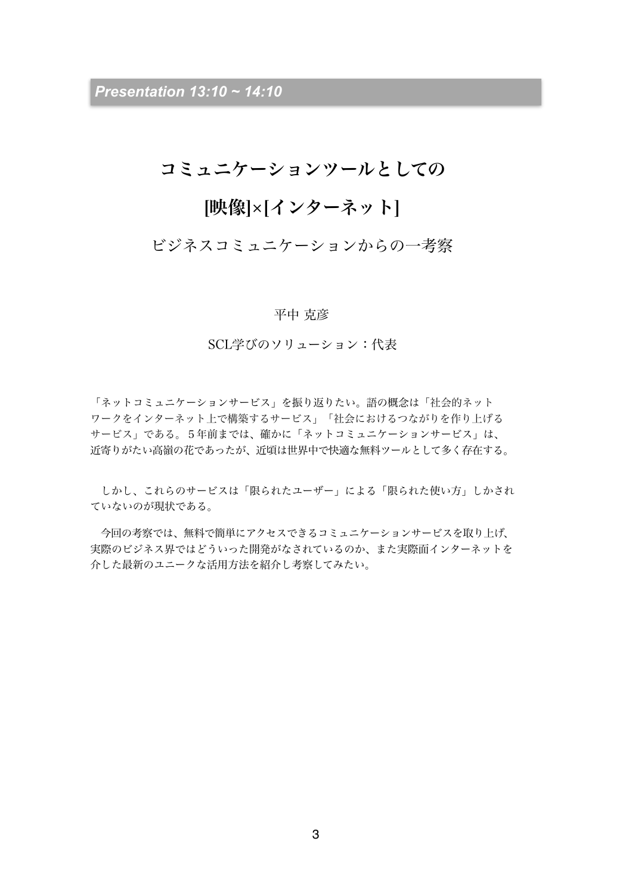*Presentation 13:10 ~ 14:10*

## コミュニケーションツールとしての

## [映像]×[インターネット]

## ビジネスコミュニケーションからの一考察

#### 平中 克彦

SCL学びのソリューション:代表

「ネットコミュニケーションサービス」を振り返りたい。語の概念は「社会的ネット ワークをインターネット上で構築するサービス」「社会におけるつながりを作り上げる サービス」である。5年前までは、確かに「ネットコミュニケーションサービス」は、 近寄りがたい高嶺の花であったが、近頃は世界中で快適な無料ツールとして多く存在する。

 しかし、これらのサービスは「限られたユーザー」による「限られた使い方」しかされ ていないのが現状である。

 今回の考察では、無料で簡単にアクセスできるコミュニケーションサービスを取り上げ、 実際のビジネス界ではどういった開発がなされているのか、また実際面インターネットを 介した最新のユニークな活用方法を紹介し考察してみたい。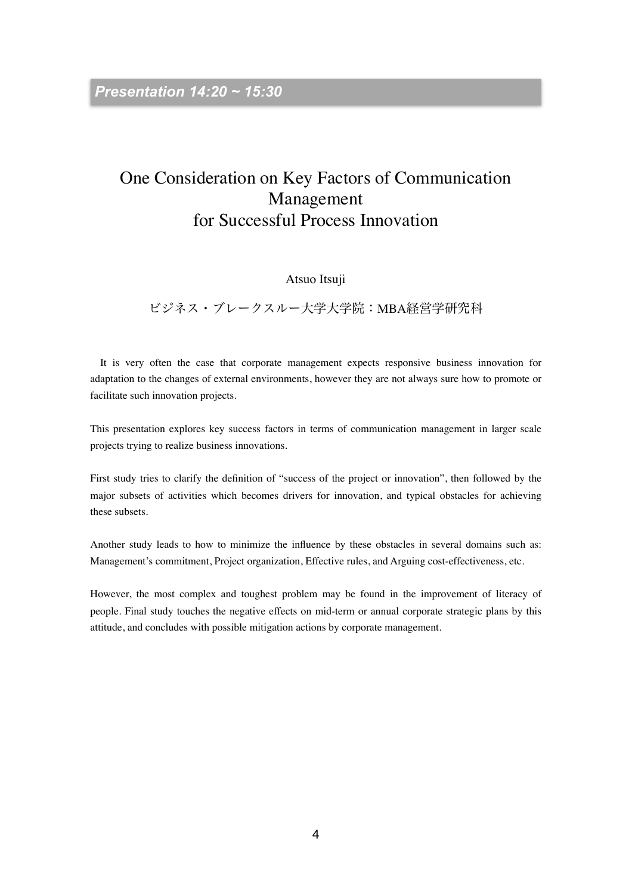## One Consideration on Key Factors of Communication Management for Successful Process Innovation

#### Atsuo Itsuji

### ビジネス・ブレークスルー大学大学院:MBA経営学研究科

 It is very often the case that corporate management expects responsive business innovation for adaptation to the changes of external environments, however they are not always sure how to promote or facilitate such innovation projects.

This presentation explores key success factors in terms of communication management in larger scale projects trying to realize business innovations.

First study tries to clarify the definition of "success of the project or innovation", then followed by the major subsets of activities which becomes drivers for innovation, and typical obstacles for achieving these subsets.

Another study leads to how to minimize the influence by these obstacles in several domains such as: Management's commitment, Project organization, Effective rules, and Arguing cost-effectiveness, etc.

However, the most complex and toughest problem may be found in the improvement of literacy of people. Final study touches the negative effects on mid-term or annual corporate strategic plans by this attitude, and concludes with possible mitigation actions by corporate management.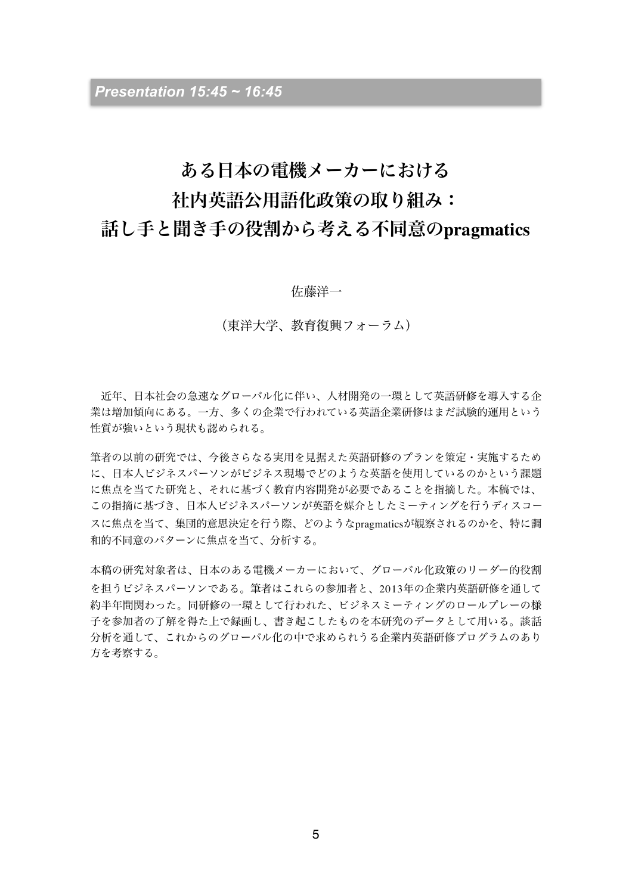## ある日本の電機メーカーにおける

## 社内英語公用語化政策の取り組み:

## 話し手と聞き手の役割から考える不同意の**pragmatics**

佐藤洋一

(東洋大学、教育復興フォーラム)

 近年、日本社会の急速なグローバル化に伴い、人材開発の一環として英語研修を導入する企 業は増加傾向にある。一方、多くの企業で行われている英語企業研修はまだ試験的運用という 性質が強いという現状も認められる。

筆者の以前の研究では、今後さらなる実用を見据えた英語研修のプランを策定・実施するため に、日本人ビジネスパーソンがビジネス現場でどのような英語を使用しているのかという課題 に焦点を当てた研究と、それに基づく教育内容開発が必要であることを指摘した。本稿では、 この指摘に基づき、日本人ビジネスパーソンが英語を媒介としたミーティングを行うディスコー スに焦点を当て、集団的意思決定を行う際、どのようなpragmaticsが観察されるのかを、特に調 和的不同意のパターンに焦点を当て、分析する。

本稿の研究対象者は、日本のある電機メーカーにおいて、グローバル化政策のリーダー的役割 を担うビジネスパーソンである。筆者はこれらの参加者と、2013年の企業内英語研修を通して 約半年間関わった。同研修の一環として行われた、ビジネスミーティングのロールプレーの様 子を参加者の了解を得た上で録画し、書き起こしたものを本研究のデータとして用いる。談話 分析を通して、これからのグローバル化の中で求められうる企業内英語研修プログラムのあり 方を考察する。